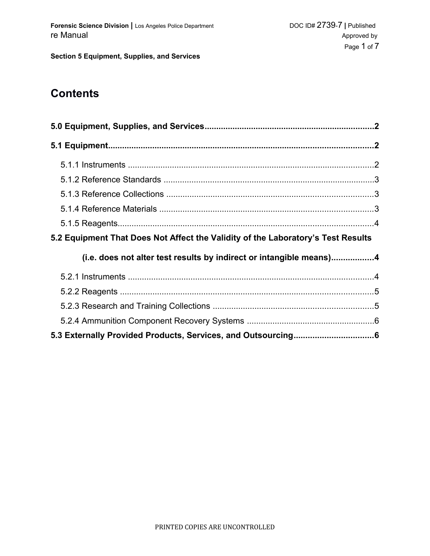**Section 5 Equipment, Supplies, and Services**

# **Contents**

| 5.2 Equipment That Does Not Affect the Validity of the Laboratory's Test Results |  |
|----------------------------------------------------------------------------------|--|
| (i.e. does not alter test results by indirect or intangible means)4              |  |
|                                                                                  |  |
|                                                                                  |  |
|                                                                                  |  |
|                                                                                  |  |
|                                                                                  |  |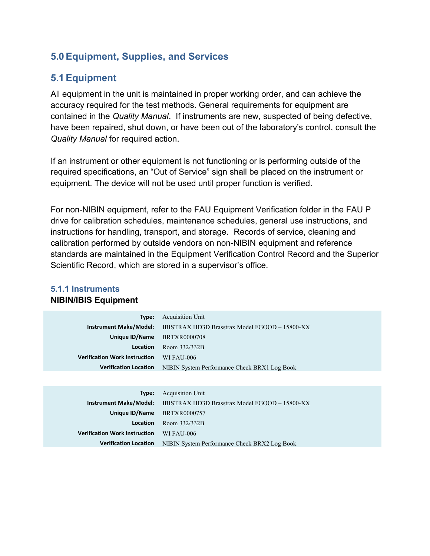## **5.0Equipment, Supplies, and Services**

## **5.1Equipment**

All equipment in the unit is maintained in proper working order, and can achieve the accuracy required for the test methods. General requirements for equipment are contained in the *Quality Manual*. If instruments are new, suspected of being defective, have been repaired, shut down, or have been out of the laboratory's control, consult the *Quality Manual* for required action.

If an instrument or other equipment is not functioning or is performing outside of the required specifications, an "Out of Service" sign shall be placed on the instrument or equipment. The device will not be used until proper function is verified.

For non-NIBIN equipment, refer to the FAU Equipment Verification folder in the FAU P drive for calibration schedules, maintenance schedules, general use instructions, and instructions for handling, transport, and storage. Records of service, cleaning and calibration performed by outside vendors on non-NIBIN equipment and reference standards are maintained in the Equipment Verification Control Record and the Superior Scientific Record, which are stored in a supervisor's office.

| Type:                                | <b>Acquisition Unit</b>                        |
|--------------------------------------|------------------------------------------------|
| <b>Instrument Make/Model:</b>        | IBISTRAX HD3D Brasstrax Model FGOOD - 15800-XX |
| Unique ID/Name                       | <b>BRTXR0000708</b>                            |
| Location                             | Room 332/332B                                  |
| <b>Verification Work Instruction</b> | WI FAU-006                                     |
| <b>Verification Location</b>         | NIBIN System Performance Check BRX1 Log Book   |
|                                      |                                                |
|                                      |                                                |
| Type:                                | <b>Acquisition Unit</b>                        |
| <b>Instrument Make/Model:</b>        | IBISTRAX HD3D Brasstrax Model FGOOD - 15800-XX |
| Unique ID/Name                       | BRTXR0000757                                   |

**Verification Location** NIBIN System Performance Check BRX2 Log Book

**Location** Room 332/332B

**Verification Work Instruction** WI FAU-006

#### **5.1.1 Instruments NIBIN/IBIS Equipment**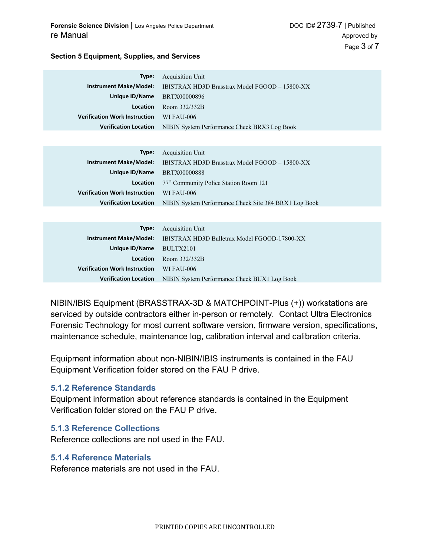#### **Section 5 Equipment, Supplies, and Services**

| Type:                                | Acquisition Unit                                                             |
|--------------------------------------|------------------------------------------------------------------------------|
|                                      | <b>Instrument Make/Model:</b> IBISTRAX HD3D Brasstrax Model FGOOD - 15800-XX |
| Unique ID/Name BRTX00000896          |                                                                              |
| <b>Location</b>                      | Room 332/332B                                                                |
| <b>Verification Work Instruction</b> | WI FAU-006                                                                   |
|                                      | <b>Verification Location</b> NIBIN System Performance Check BRX3 Log Book    |
|                                      |                                                                              |

|                                                 | <b>Type:</b> Acquisition Unit                                                      |
|-------------------------------------------------|------------------------------------------------------------------------------------|
|                                                 | <b>Instrument Make/Model:</b> IBISTRAX HD3D Brasstrax Model FGOOD - 15800-XX       |
| Unique ID/Name BRTX00000888                     |                                                                                    |
|                                                 | <b>Location</b> $77th$ Community Police Station Room 121                           |
| <b>Verification Work Instruction</b> WI FAU-006 |                                                                                    |
|                                                 | <b>Verification Location</b> NIBIN System Performance Check Site 384 BRX1 Log Book |

|                                      | <b>Type:</b> Acquisition Unit                                       |
|--------------------------------------|---------------------------------------------------------------------|
|                                      | Instrument Make/Model: IBISTRAX HD3D Bulletrax Model FGOOD-17800-XX |
| Unique $ID/N$ ame $BULTX2101$        |                                                                     |
| Location                             | Room 332/332B                                                       |
| <b>Verification Work Instruction</b> | WI FAU-006                                                          |
| <b>Verification Location</b>         | NIBIN System Performance Check BUX1 Log Book                        |

NIBIN/IBIS Equipment (BRASSTRAX-3D & MATCHPOINT-Plus (+)) workstations are serviced by outside contractors either in-person or remotely. Contact Ultra Electronics Forensic Technology for most current software version, firmware version, specifications, maintenance schedule, maintenance log, calibration interval and calibration criteria.

Equipment information about non-NIBIN/IBIS instruments is contained in the FAU Equipment Verification folder stored on the FAU P drive.

#### **5.1.2 Reference Standards**

Equipment information about reference standards is contained in the Equipment Verification folder stored on the FAU P drive.

#### **5.1.3 Reference Collections**

Reference collections are not used in the FAU.

#### **5.1.4 Reference Materials**

Reference materials are not used in the FAU.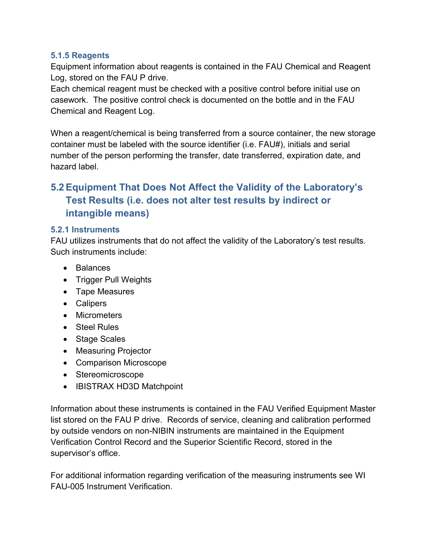### **5.1.5 Reagents**

Equipment information about reagents is contained in the FAU Chemical and Reagent Log, stored on the FAU P drive.

Each chemical reagent must be checked with a positive control before initial use on casework. The positive control check is documented on the bottle and in the FAU Chemical and Reagent Log.

When a reagent/chemical is being transferred from a source container, the new storage container must be labeled with the source identifier (i.e. FAU#), initials and serial number of the person performing the transfer, date transferred, expiration date, and hazard label.

## **5.2Equipment That Does Not Affect the Validity of the Laboratory's Test Results (i.e. does not alter test results by indirect or intangible means)**

### **5.2.1 Instruments**

FAU utilizes instruments that do not affect the validity of the Laboratory's test results. Such instruments include:

- Balances
- Trigger Pull Weights
- Tape Measures
- Calipers
- Micrometers
- Steel Rules
- Stage Scales
- Measuring Projector
- Comparison Microscope
- Stereomicroscope
- IBISTRAX HD3D Matchpoint

Information about these instruments is contained in the FAU Verified Equipment Master list stored on the FAU P drive. Records of service, cleaning and calibration performed by outside vendors on non-NIBIN instruments are maintained in the Equipment Verification Control Record and the Superior Scientific Record, stored in the supervisor's office.

For additional information regarding verification of the measuring instruments see WI FAU-005 Instrument Verification.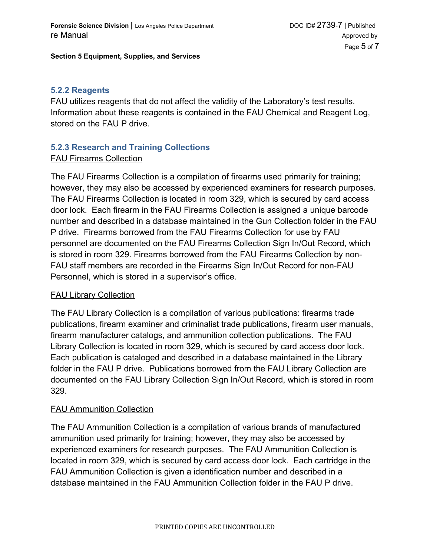#### **Section 5 Equipment, Supplies, and Services**

#### **5.2.2 Reagents**

FAU utilizes reagents that do not affect the validity of the Laboratory's test results. Information about these reagents is contained in the FAU Chemical and Reagent Log, stored on the FAU P drive.

## **5.2.3 Research and Training Collections**

### FAU Firearms Collection

The FAU Firearms Collection is a compilation of firearms used primarily for training; however, they may also be accessed by experienced examiners for research purposes. The FAU Firearms Collection is located in room 329, which is secured by card access door lock. Each firearm in the FAU Firearms Collection is assigned a unique barcode number and described in a database maintained in the Gun Collection folder in the FAU P drive. Firearms borrowed from the FAU Firearms Collection for use by FAU personnel are documented on the FAU Firearms Collection Sign In/Out Record, which is stored in room 329. Firearms borrowed from the FAU Firearms Collection by non-FAU staff members are recorded in the Firearms Sign In/Out Record for non-FAU Personnel, which is stored in a supervisor's office.

#### **FAU Library Collection**

The FAU Library Collection is a compilation of various publications: firearms trade publications, firearm examiner and criminalist trade publications, firearm user manuals, firearm manufacturer catalogs, and ammunition collection publications. The FAU Library Collection is located in room 329, which is secured by card access door lock. Each publication is cataloged and described in a database maintained in the Library folder in the FAU P drive. Publications borrowed from the FAU Library Collection are documented on the FAU Library Collection Sign In/Out Record, which is stored in room 329.

### FAU Ammunition Collection

The FAU Ammunition Collection is a compilation of various brands of manufactured ammunition used primarily for training; however, they may also be accessed by experienced examiners for research purposes. The FAU Ammunition Collection is located in room 329, which is secured by card access door lock. Each cartridge in the FAU Ammunition Collection is given a identification number and described in a database maintained in the FAU Ammunition Collection folder in the FAU P drive.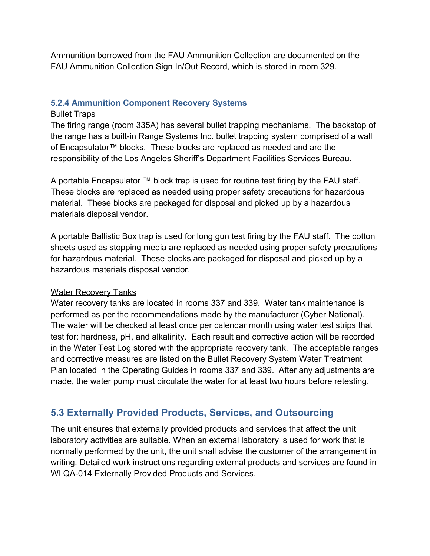Ammunition borrowed from the FAU Ammunition Collection are documented on the FAU Ammunition Collection Sign In/Out Record, which is stored in room 329.

### **5.2.4 Ammunition Component Recovery Systems**

#### Bullet Traps

The firing range (room 335A) has several bullet trapping mechanisms. The backstop of the range has a built-in Range Systems Inc. bullet trapping system comprised of a wall of Encapsulator™ blocks. These blocks are replaced as needed and are the responsibility of the Los Angeles Sheriff's Department Facilities Services Bureau.

A portable Encapsulator ™ block trap is used for routine test firing by the FAU staff. These blocks are replaced as needed using proper safety precautions for hazardous material. These blocks are packaged for disposal and picked up by a hazardous materials disposal vendor.

A portable Ballistic Box trap is used for long gun test firing by the FAU staff. The cotton sheets used as stopping media are replaced as needed using proper safety precautions for hazardous material. These blocks are packaged for disposal and picked up by a hazardous materials disposal vendor.

### Water Recovery Tanks

Water recovery tanks are located in rooms 337 and 339. Water tank maintenance is performed as per the recommendations made by the manufacturer (Cyber National). The water will be checked at least once per calendar month using water test strips that test for: hardness, pH, and alkalinity. Each result and corrective action will be recorded in the Water Test Log stored with the appropriate recovery tank. The acceptable ranges and corrective measures are listed on the Bullet Recovery System Water Treatment Plan located in the Operating Guides in rooms 337 and 339. After any adjustments are made, the water pump must circulate the water for at least two hours before retesting.

## **5.3 Externally Provided Products, Services, and Outsourcing**

The unit ensures that externally provided products and services that affect the unit laboratory activities are suitable. When an external laboratory is used for work that is normally performed by the unit, the unit shall advise the customer of the arrangement in writing. Detailed work instructions regarding external products and services are found in WI QA-014 Externally Provided Products and Services.